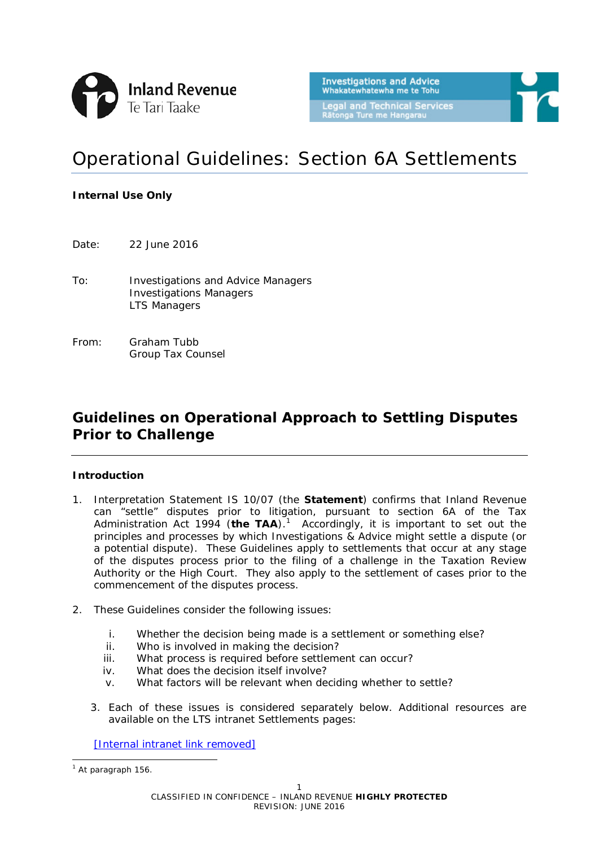

# Operational Guidelines: Section 6A Settlements

#### **Internal Use Only**

Date: 22 June 2016

- To: Investigations and Advice Managers Investigations Managers LTS Managers
- From: Graham Tubb Group Tax Counsel

# **Guidelines on Operational Approach to Settling Disputes Prior to Challenge**

#### **Introduction**

- 1. Interpretation Statement IS 10/07 (the **Statement**) confirms that Inland Revenue can "settle" disputes prior to litigation, pursuant to section 6A of the Tax Administration Act [1](#page-0-0)994 (the TAA).<sup>1</sup> Accordingly, it is important to set out the principles and processes by which Investigations & Advice might settle a dispute (or a potential dispute). These Guidelines apply to settlements that occur at any stage of the disputes process prior to the filing of a challenge in the Taxation Review Authority or the High Court. They also apply to the settlement of cases prior to the commencement of the disputes process.
- 2. These Guidelines consider the following issues:
	- i. Whether the decision being made is a settlement or something else?
	- ii. Who is involved in making the decision?
	- iii. What process is required before settlement can occur?
	- iv. What does the decision itself involve?
	- v. What factors will be relevant when deciding whether to settle?
	- 3. Each of these issues is considered separately below. Additional resources are available on the LTS intranet Settlements pages:

[\[Internal](http://intranet.ird.govt.nz/lts/tools-resources/legal-technical-guidelines/settlement-guidelines) intranet link removed]

<span id="page-0-0"></span> $<sup>1</sup>$  At paragraph 156.</sup> -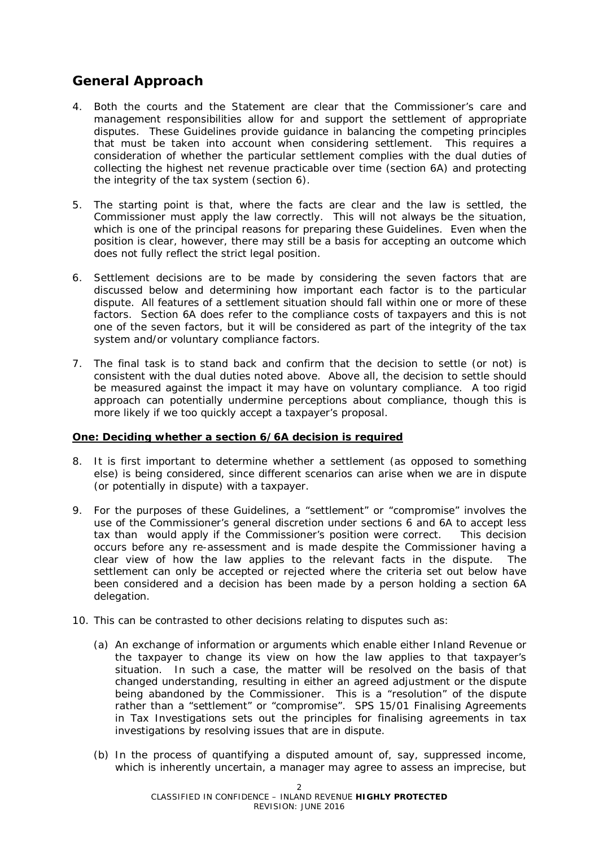# **General Approach**

- 4. Both the courts and the Statement are clear that the Commissioner's care and management responsibilities allow for and support the settlement of appropriate disputes. These Guidelines provide guidance in balancing the competing principles that must be taken into account when considering settlement. This requires a consideration of whether the particular settlement complies with the dual duties of collecting the highest net revenue practicable over time (section 6A) and protecting the integrity of the tax system (section 6).
- 5. The starting point is that, where the facts are clear and the law is settled, the Commissioner must apply the law correctly. This will not always be the situation, which is one of the principal reasons for preparing these Guidelines. Even when the position is clear, however, there may still be a basis for accepting an outcome which does not fully reflect the strict legal position.
- 6. Settlement decisions are to be made by considering the seven factors that are discussed below and determining how important each factor is to the particular dispute. All features of a settlement situation should fall within one or more of these factors. Section 6A does refer to the compliance costs of taxpayers and this is not one of the seven factors, but it will be considered as part of the integrity of the tax system and/or voluntary compliance factors.
- 7. The final task is to stand back and confirm that the decision to settle (or not) is consistent with the dual duties noted above. Above all, the decision to settle should be measured against the impact it may have on voluntary compliance. A too rigid approach can potentially undermine perceptions about compliance, though this is more likely if we too quickly accept a taxpayer's proposal.

#### **One: Deciding whether a section 6/6A decision is required**

- 8. It is first important to determine whether a settlement (as opposed to something else) is being considered, since different scenarios can arise when we are in dispute (or potentially in dispute) with a taxpayer.
- 9. For the purposes of these Guidelines, a "settlement" or "compromise" involves the use of the Commissioner's general discretion under sections 6 and 6A to accept less tax than would apply if the Commissioner's position were correct. This decision occurs before any re-assessment and is made despite the Commissioner having a clear view of how the law applies to the relevant facts in the dispute. The settlement can only be accepted or rejected where the criteria set out below have been considered and a decision has been made by a person holding a section 6A delegation.
- 10. This can be contrasted to other decisions relating to disputes such as:
	- (a) An exchange of information or arguments which enable either Inland Revenue or the taxpayer to change its view on how the law applies to that taxpayer's situation. In such a case, the matter will be resolved on the basis of that changed understanding, resulting in either an agreed adjustment or the dispute being abandoned by the Commissioner. This is a "resolution" of the dispute rather than a "settlement" or "compromise". SPS 15/01 *Finalising Agreements in Tax Investigations* sets out the principles for finalising agreements in tax investigations by resolving issues that are in dispute.
	- (b) In the process of quantifying a disputed amount of, say, suppressed income, which is inherently uncertain, a manager may agree to assess an imprecise, but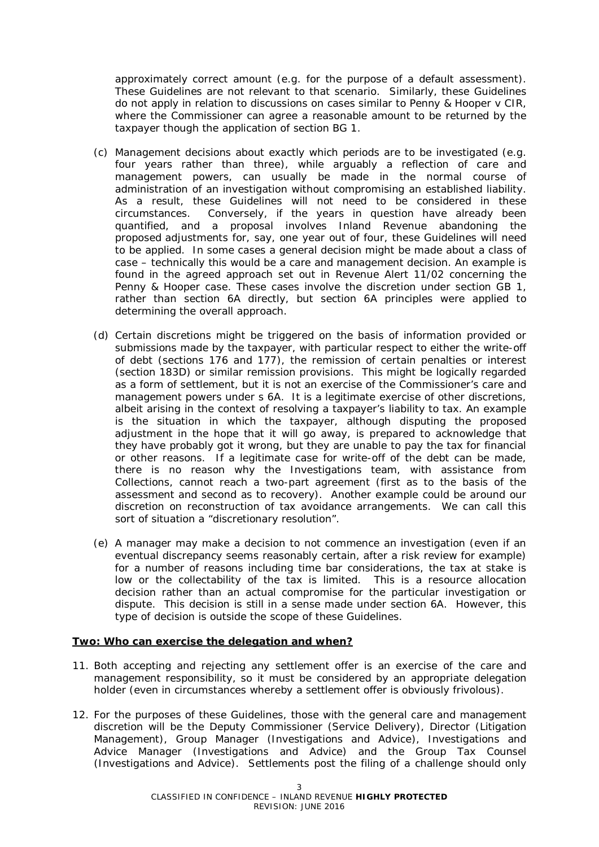approximately correct amount (e.g. for the purpose of a default assessment). These Guidelines are not relevant to that scenario. Similarly, these Guidelines do not apply in relation to discussions on cases similar to *Penny & Hooper v CIR*, where the Commissioner can agree a reasonable amount to be returned by the taxpayer though the application of section BG 1.

- (c) Management decisions about exactly which periods are to be investigated (e.g. four years rather than three), while arguably a reflection of care and management powers, can usually be made in the normal course of administration of an investigation without compromising an established liability. As a result, these Guidelines will not need to be considered in these circumstances. Conversely, if the years in question have already been quantified, and a proposal involves Inland Revenue abandoning the proposed adjustments for, say, one year out of four, these Guidelines will need to be applied. In some cases a general decision might be made about a class of case – technically this would be a care and management decision. An example is found in the agreed approach set out in *Revenue Alert 11/02* concerning the *Penny & Hooper* case. These cases involve the discretion under section GB 1, rather than section 6A directly, but section 6A principles were applied to determining the overall approach.
- (d) Certain discretions might be triggered on the basis of information provided or submissions made by the taxpayer, with particular respect to either the write-off of debt (sections 176 and 177*)*, the remission of certain penalties or interest (section 183D*)* or similar remission provisions. This might be logically regarded as a form of settlement, but it is not an exercise of the Commissioner's care and management powers under s 6A. It is a legitimate exercise of other discretions, albeit arising in the context of resolving a taxpayer's liability to tax. An example is the situation in which the taxpayer, although disputing the proposed adjustment in the hope that it will go away, is prepared to acknowledge that they have probably got it wrong, but they are unable to pay the tax for financial or other reasons. If a legitimate case for write-off of the debt can be made, there is no reason why the Investigations team, with assistance from Collections, cannot reach a two-part agreement (first as to the basis of the assessment and second as to recovery). Another example could be around our discretion on reconstruction of tax avoidance arrangements. We can call this sort of situation a "discretionary resolution".
- (e) A manager may make a decision to not commence an investigation (even if an eventual discrepancy seems reasonably certain, after a risk review for example) for a number of reasons including time bar considerations, the tax at stake is low or the collectability of the tax is limited. This is a resource allocation decision rather than an actual compromise for the particular investigation or dispute. This decision is still in a sense made under section 6A. However, this type of decision is outside the scope of these Guidelines.

#### **Two: Who can exercise the delegation and when?**

- 11. Both accepting and rejecting any settlement offer is an exercise of the care and management responsibility, so it must be considered by an appropriate delegation holder (even in circumstances whereby a settlement offer is obviously frivolous).
- 12. For the purposes of these Guidelines, those with the general care and management discretion will be the Deputy Commissioner (Service Delivery), Director (Litigation Management), Group Manager (Investigations and Advice), Investigations and Advice Manager (Investigations and Advice) and the Group Tax Counsel (Investigations and Advice). Settlements post the filing of a challenge should only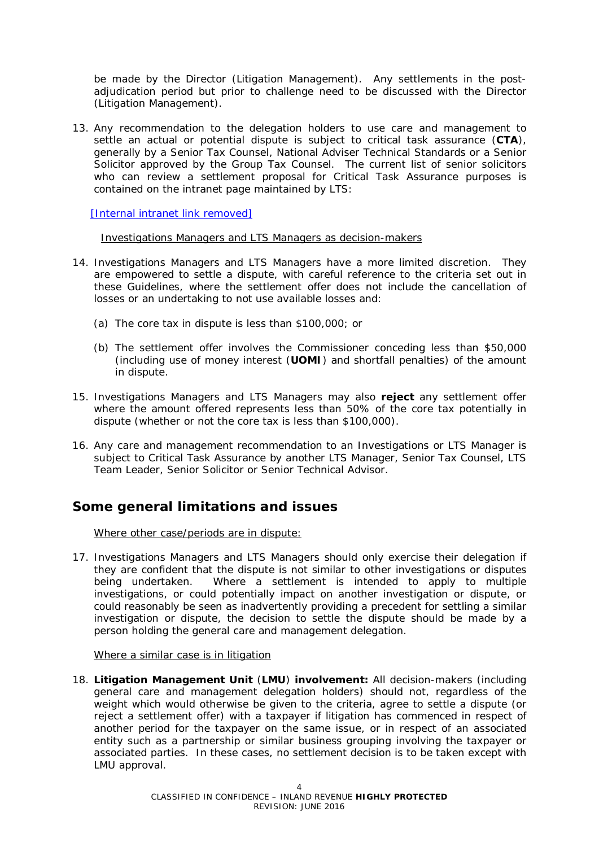be made by the Director (Litigation Management). Any settlements in the postadjudication period but prior to challenge need to be discussed with the Director (Litigation Management).

13. Any recommendation to the delegation holders to use care and management to settle an actual or potential dispute is subject to critical task assurance (**CTA**), generally by a Senior Tax Counsel, National Adviser Technical Standards or a Senior Solicitor approved by the Group Tax Counsel. The current list of senior solicitors who can review a settlement proposal for Critical Task Assurance purposes is contained on the intranet page maintained by LTS:

[\[Internal](http://intranet.ird.govt.nz/lts/tools-resources/legal-technical-guidelines/settlement-guidelines) intranet link removed]

#### Investigations Managers and LTS Managers as decision-makers

- 14. Investigations Managers and LTS Managers have a more limited discretion. They are empowered to settle a dispute, with careful reference to the criteria set out in these Guidelines, where the settlement offer does not include the cancellation of losses or an undertaking to not use available losses and:
	- (a) The core tax in dispute is less than \$100,000; or
	- (b) The settlement offer involves the Commissioner conceding less than \$50,000 (including use of money interest (**UOMI**) and shortfall penalties) of the amount in dispute.
- 15. Investigations Managers and LTS Managers may also **reject** any settlement offer where the amount offered represents less than 50% of the core tax potentially in dispute (whether or not the core tax is less than \$100,000).
- 16. Any care and management recommendation to an Investigations or LTS Manager is subject to Critical Task Assurance by another LTS Manager, Senior Tax Counsel, LTS Team Leader, Senior Solicitor or Senior Technical Advisor.

# **Some general limitations and issues**

Where other case/periods are in dispute:

17. Investigations Managers and LTS Managers should only exercise their delegation if they are confident that the dispute is not similar to other investigations or disputes being undertaken. Where a settlement is intended to apply to multiple investigations, or could potentially impact on another investigation or dispute, or could reasonably be seen as inadvertently providing a precedent for settling a similar investigation or dispute, the decision to settle the dispute should be made by a person holding the general care and management delegation.

Where a similar case is in litigation

18. **Litigation Management Unit** (**LMU**) **involvement:** All decision-makers (including general care and management delegation holders) should not, regardless of the weight which would otherwise be given to the criteria, agree to settle a dispute (or reject a settlement offer) with a taxpayer if litigation has commenced in respect of another period for the taxpayer on the same issue, or in respect of an associated entity such as a partnership or similar business grouping involving the taxpayer or associated parties. In these cases, no settlement decision is to be taken except with LMU approval.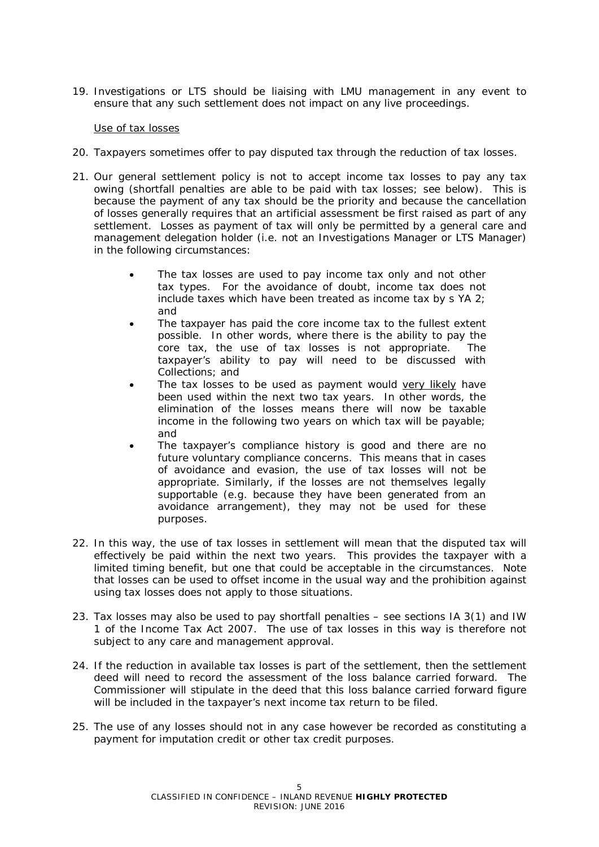19. Investigations or LTS should be liaising with LMU management in any event to ensure that any such settlement does not impact on any live proceedings.

#### Use of tax losses

- 20. Taxpayers sometimes offer to pay disputed tax through the reduction of tax losses.
- 21. Our general settlement policy is not to accept income tax losses to pay any tax owing (shortfall penalties are able to be paid with tax losses; see below). This is because the payment of any tax should be the priority and because the cancellation of losses generally requires that an artificial assessment be first raised as part of any settlement. Losses as payment of tax will only be permitted by a general care and management delegation holder (i.e. not an Investigations Manager or LTS Manager) in the following circumstances:
	- The tax losses are used to pay income tax only and not other tax types. For the avoidance of doubt, income tax does not include taxes which have been treated as income tax by s YA 2; and
	- The taxpayer has paid the core income tax to the fullest extent possible. In other words, where there is the ability to pay the core tax, the use of tax losses is not appropriate. The taxpayer's ability to pay will need to be discussed with Collections; and
	- The tax losses to be used as payment would very likely have been used within the next two tax years. In other words, the elimination of the losses means there will now be taxable income in the following two years on which tax will be payable; and
	- The taxpayer's compliance history is good and there are no future voluntary compliance concerns. This means that in cases of avoidance and evasion, the use of tax losses will not be appropriate. Similarly, if the losses are not themselves legally supportable (e.g. because they have been generated from an avoidance arrangement), they may not be used for these purposes.
- 22. In this way, the use of tax losses in settlement will mean that the disputed tax will effectively be paid within the next two years. This provides the taxpayer with a limited timing benefit, but one that could be acceptable in the circumstances. Note that losses can be used to offset income in the usual way and the prohibition against using tax losses does not apply to those situations.
- 23. Tax losses may also be used to pay shortfall penalties see sections IA 3(1) and IW 1 of the Income Tax Act 2007. The use of tax losses in this way is therefore not subject to any care and management approval.
- 24. If the reduction in available tax losses is part of the settlement, then the settlement deed will need to record the assessment of the loss balance carried forward. The Commissioner will stipulate in the deed that this loss balance carried forward figure will be included in the taxpayer's next income tax return to be filed.
- 25. The use of any losses should not in any case however be recorded as constituting a payment for imputation credit or other tax credit purposes.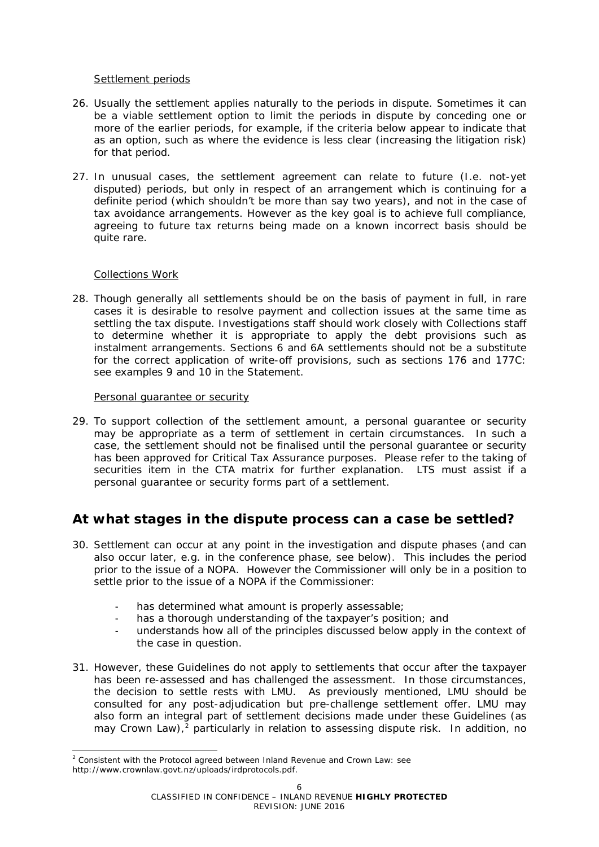#### Settlement periods

- 26. Usually the settlement applies naturally to the periods in dispute. Sometimes it can be a viable settlement option to limit the periods in dispute by conceding one or more of the earlier periods, for example, if the criteria below appear to indicate that as an option, such as where the evidence is less clear (increasing the litigation risk) for that period.
- 27. In unusual cases, the settlement agreement can relate to future (I.e. not-yet disputed) periods, but only in respect of an arrangement which is continuing for a definite period (which shouldn't be more than say two years), and not in the case of tax avoidance arrangements. However as the key goal is to achieve full compliance, agreeing to future tax returns being made on a known incorrect basis should be quite rare.

#### Collections Work

-

28. Though generally all settlements should be on the basis of payment in full, in rare cases it is desirable to resolve payment and collection issues at the same time as settling the tax dispute. Investigations staff should work closely with Collections staff to determine whether it is appropriate to apply the debt provisions such as instalment arrangements. Sections 6 and 6A settlements should not be a substitute for the correct application of write-off provisions, such as sections 176 and 177C: see examples 9 and 10 in the Statement.

#### Personal guarantee or security

29. To support collection of the settlement amount, a personal guarantee or security may be appropriate as a term of settlement in certain circumstances. In such a case, the settlement should not be finalised until the personal guarantee or security has been approved for Critical Tax Assurance purposes. Please refer to the taking of securities item in the CTA matrix for further explanation. LTS must assist if a personal guarantee or security forms part of a settlement.

# **At what stages in the dispute process can a case be settled?**

- 30. Settlement can occur at any point in the investigation and dispute phases (and can also occur later, e.g. in the conference phase, see below). This includes the period prior to the issue of a NOPA. However the Commissioner will only be in a position to settle prior to the issue of a NOPA if the Commissioner:
	- has determined what amount is properly assessable;
	- has a thorough understanding of the taxpayer's position; and
	- understands how all of the principles discussed below apply in the context of the case in question.
- 31. However, these Guidelines do not apply to settlements that occur after the taxpayer has been re-assessed and has challenged the assessment. In those circumstances, the decision to settle rests with LMU. As previously mentioned, LMU should be consulted for any post-adjudication but pre-challenge settlement offer. LMU may also form an integral part of settlement decisions made under these Guidelines (as may Crown Law),<sup>[2](#page-5-0)</sup> particularly in relation to assessing dispute risk. In addition, no

<span id="page-5-0"></span><sup>&</sup>lt;sup>2</sup> Consistent with the Protocol agreed between Inland Revenue and Crown Law: see http://www.crownlaw.govt.nz/uploads/irdprotocols.pdf.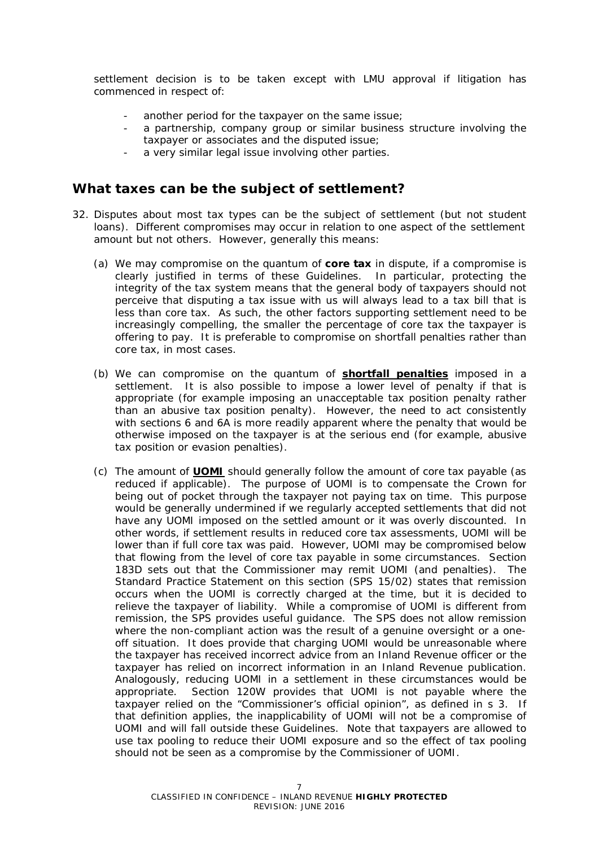settlement decision is to be taken except with LMU approval if litigation has commenced in respect of:

- another period for the taxpayer on the same issue;
- a partnership, company group or similar business structure involving the taxpayer or associates and the disputed issue;
- a very similar legal issue involving other parties.

### **What taxes can be the subject of settlement?**

- 32. Disputes about most tax types can be the subject of settlement (but not student loans). Different compromises may occur in relation to one aspect of the settlement amount but not others. However, generally this means:
	- (a) We may compromise on the quantum of **core tax** in dispute, if a compromise is clearly justified in terms of these Guidelines. In particular, protecting the integrity of the tax system means that the general body of taxpayers should not perceive that disputing a tax issue with us will always lead to a tax bill that is less than core tax. As such, the other factors supporting settlement need to be increasingly compelling, the smaller the percentage of core tax the taxpayer is offering to pay. It is preferable to compromise on shortfall penalties rather than core tax, in most cases.
	- (b) We can compromise on the quantum of **shortfall penalties** imposed in a settlement. It is also possible to impose a lower level of penalty if that is appropriate (for example imposing an unacceptable tax position penalty rather than an abusive tax position penalty). However, the need to act consistently with sections 6 and 6A is more readily apparent where the penalty that would be otherwise imposed on the taxpayer is at the serious end (for example, abusive tax position or evasion penalties).
	- (c) The amount of **UOMI** should generally follow the amount of core tax payable (as reduced if applicable). The purpose of UOMI is to compensate the Crown for being out of pocket through the taxpayer not paying tax on time. This purpose would be generally undermined if we regularly accepted settlements that did not have any UOMI imposed on the settled amount or it was overly discounted. In other words, if settlement results in reduced core tax assessments, UOMI will be lower than if full core tax was paid. However, UOMI may be compromised below that flowing from the level of core tax payable in some circumstances. Section 183D sets out that the Commissioner may remit UOMI (and penalties). The Standard Practice Statement on this section (SPS 15/02) states that remission occurs when the UOMI is correctly charged at the time, but it is decided to relieve the taxpayer of liability. While a compromise of UOMI is different from remission, the SPS provides useful guidance. The SPS does not allow remission where the non-compliant action was the result of a genuine oversight or a oneoff situation. It does provide that charging UOMI would be unreasonable where the taxpayer has received incorrect advice from an Inland Revenue officer or the taxpayer has relied on incorrect information in an Inland Revenue publication. Analogously, reducing UOMI in a settlement in these circumstances would be appropriate. Section 120W provides that UOMI is not payable where the taxpayer relied on the "Commissioner's official opinion", as defined in s 3. If that definition applies, the inapplicability of UOMI will not be a compromise of UOMI and will fall outside these Guidelines. Note that taxpayers are allowed to use tax pooling to reduce their UOMI exposure and so the effect of tax pooling should not be seen as a compromise by the Commissioner of UOMI.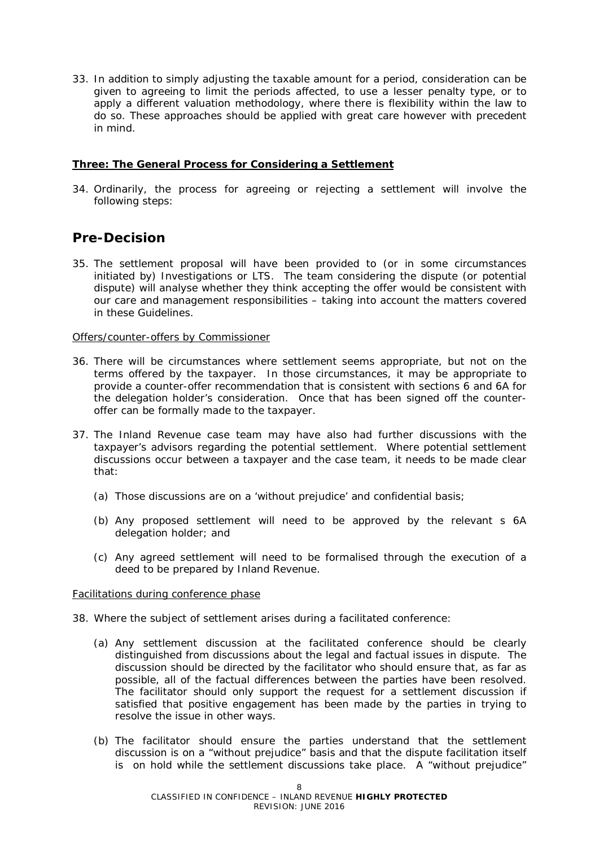33. In addition to simply adjusting the taxable amount for a period, consideration can be given to agreeing to limit the periods affected, to use a lesser penalty type, or to apply a different valuation methodology, where there is flexibility within the law to do so. These approaches should be applied with great care however with precedent in mind.

#### **Three: The General Process for Considering a Settlement**

34. Ordinarily, the process for agreeing or rejecting a settlement will involve the following steps:

## **Pre-Decision**

35. The settlement proposal will have been provided to (or in some circumstances initiated by) Investigations or LTS. The team considering the dispute (or potential dispute) will analyse whether they think accepting the offer would be consistent with our care and management responsibilities – taking into account the matters covered in these Guidelines.

#### Offers/counter-offers by Commissioner

- 36. There will be circumstances where settlement seems appropriate, but not on the terms offered by the taxpayer. In those circumstances, it may be appropriate to provide a counter-offer recommendation that is consistent with sections 6 and 6A for the delegation holder's consideration. Once that has been signed off the counteroffer can be formally made to the taxpayer.
- 37. The Inland Revenue case team may have also had further discussions with the taxpayer's advisors regarding the potential settlement. Where potential settlement discussions occur between a taxpayer and the case team, it needs to be made clear that:
	- (a) Those discussions are on a 'without prejudice' and confidential basis;
	- (b) Any proposed settlement will need to be approved by the relevant s 6A delegation holder; and
	- (c) Any agreed settlement will need to be formalised through the execution of a deed to be prepared by Inland Revenue.

#### Facilitations during conference phase

- 38. Where the subject of settlement arises during a facilitated conference:
	- (a) Any settlement discussion at the facilitated conference should be clearly distinguished from discussions about the legal and factual issues in dispute. The discussion should be directed by the facilitator who should ensure that, as far as possible, all of the factual differences between the parties have been resolved. The facilitator should only support the request for a settlement discussion if satisfied that positive engagement has been made by the parties in trying to resolve the issue in other ways.
	- (b) The facilitator should ensure the parties understand that the settlement discussion is on a "without prejudice" basis and that the dispute facilitation itself is on hold while the settlement discussions take place. A "without prejudice"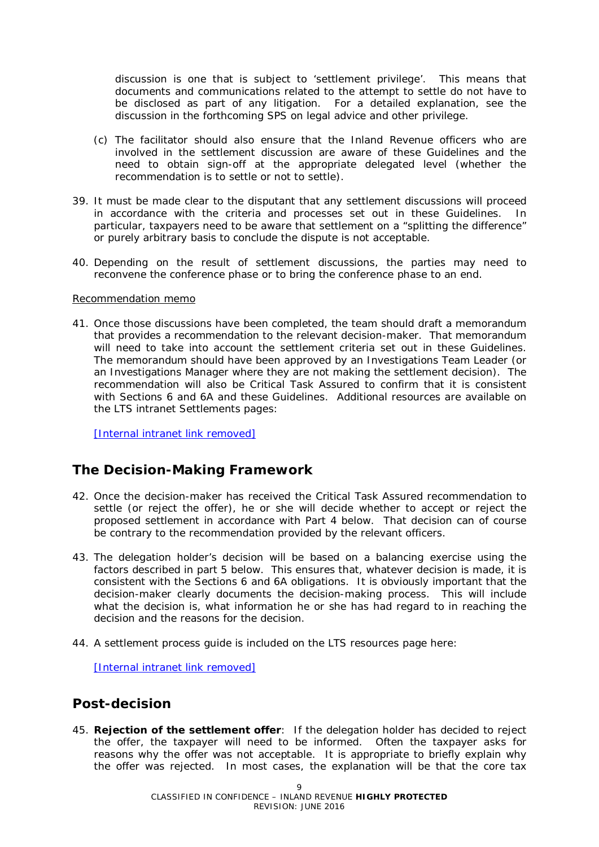discussion is one that is subject to 'settlement privilege'. This means that documents and communications related to the attempt to settle do not have to be disclosed as part of any litigation. For a detailed explanation, see the discussion in the forthcoming SPS on legal advice and other privilege.

- (c) The facilitator should also ensure that the Inland Revenue officers who are involved in the settlement discussion are aware of these Guidelines and the need to obtain sign-off at the appropriate delegated level (whether the recommendation is to settle or not to settle).
- 39. It must be made clear to the disputant that any settlement discussions will proceed in accordance with the criteria and processes set out in these Guidelines. In particular, taxpayers need to be aware that settlement on a "splitting the difference" or purely arbitrary basis to conclude the dispute is not acceptable.
- 40. Depending on the result of settlement discussions, the parties may need to reconvene the conference phase or to bring the conference phase to an end.

#### Recommendation memo

41. Once those discussions have been completed, the team should draft a memorandum that provides a recommendation to the relevant decision-maker. That memorandum will need to take into account the settlement criteria set out in these Guidelines. The memorandum should have been approved by an Investigations Team Leader (or an Investigations Manager where they are not making the settlement decision). The recommendation will also be Critical Task Assured to confirm that it is consistent with Sections 6 and 6A and these Guidelines. Additional resources are available on the LTS intranet Settlements pages:

[\[Internal](http://intranet.ird.govt.nz/lts/tools-resources/legal-technical-guidelines/settlement-guidelines) intranet link removed]

## **The Decision-Making Framework**

- 42. Once the decision-maker has received the Critical Task Assured recommendation to settle (or reject the offer), he or she will decide whether to accept or reject the proposed settlement in accordance with Part 4 below. That decision can of course be contrary to the recommendation provided by the relevant officers.
- 43. The delegation holder's decision will be based on a balancing exercise using the factors described in part 5 below. This ensures that, whatever decision is made, it is consistent with the Sections 6 and 6A obligations. It is obviously important that the decision-maker clearly documents the decision-making process. This will include what the decision is, what information he or she has had regard to in reaching the decision and the reasons for the decision.
- 44. A settlement process guide is included on the LTS resources page here:

[\[Internal](http://intranet.ird.govt.nz/lts/sites/intranet.ird.govt.nz.lts/files/Process%20for%20Settlements%20May2014.pdf) intranet link removed]

### **Post-decision**

45. **Rejection of the settlement offer**: If the delegation holder has decided to reject the offer, the taxpayer will need to be informed. Often the taxpayer asks for reasons why the offer was not acceptable. It is appropriate to briefly explain why the offer was rejected. In most cases, the explanation will be that the core tax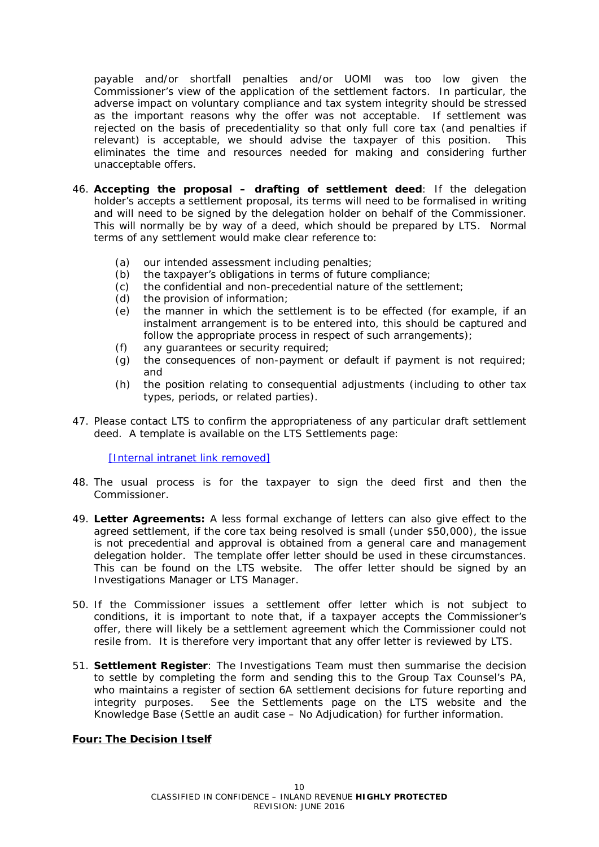payable and/or shortfall penalties and/or UOMI was too low given the Commissioner's view of the application of the settlement factors. In particular, the adverse impact on voluntary compliance and tax system integrity should be stressed as the important reasons why the offer was not acceptable. If settlement was rejected on the basis of precedentiality so that only full core tax (and penalties if relevant) is acceptable, we should advise the taxpayer of this position. This eliminates the time and resources needed for making and considering further unacceptable offers.

- 46. **Accepting the proposal – drafting of settlement deed**: If the delegation holder's accepts a settlement proposal, its terms will need to be formalised in writing and will need to be signed by the delegation holder on behalf of the Commissioner. This will normally be by way of a deed, which should be prepared by LTS. Normal terms of any settlement would make clear reference to:
	- (a) our intended assessment including penalties;
	- (b) the taxpayer's obligations in terms of future compliance;
	- (c) the confidential and non-precedential nature of the settlement;<br>(d) the provision of information;
	- the provision of information;
	- (e) the manner in which the settlement is to be effected (for example, if an instalment arrangement is to be entered into, this should be captured and follow the appropriate process in respect of such arrangements);
	- (f) any guarantees or security required;
	- (g) the consequences of non-payment or default if payment is not required; and
	- (h) the position relating to consequential adjustments (including to other tax types, periods, or related parties).
- 47. Please contact LTS to confirm the appropriateness of any particular draft settlement deed. A template is available on the LTS Settlements page:

[\[Internal](http://intranet.ird.govt.nz/lts/tools-resources/legal-technical-guidelines/settlement-guidelines) intranet link removed]

- 48. The usual process is for the taxpayer to sign the deed first and then the Commissioner.
- 49. **Letter Agreements:** A less formal exchange of letters can also give effect to the agreed settlement, if the core tax being resolved is small (under \$50,000), the issue is not precedential and approval is obtained from a general care and management delegation holder. The template offer letter should be used in these circumstances. This can be found on the LTS website. The offer letter should be signed by an Investigations Manager or LTS Manager.
- 50. If the Commissioner issues a settlement offer letter which is not subject to conditions, it is important to note that, if a taxpayer accepts the Commissioner's offer, there will likely be a settlement agreement which the Commissioner could not resile from. It is therefore very important that any offer letter is reviewed by LTS.
- 51. **Settlement Register**: The Investigations Team must then summarise the decision to settle by completing the form and sending this to the Group Tax Counsel's PA, who maintains a register of section 6A settlement decisions for future reporting and integrity purposes. See the Settlements page on the LTS website and the Knowledge Base (Settle an audit case – No Adjudication) for further information.

#### **Four: The Decision Itself**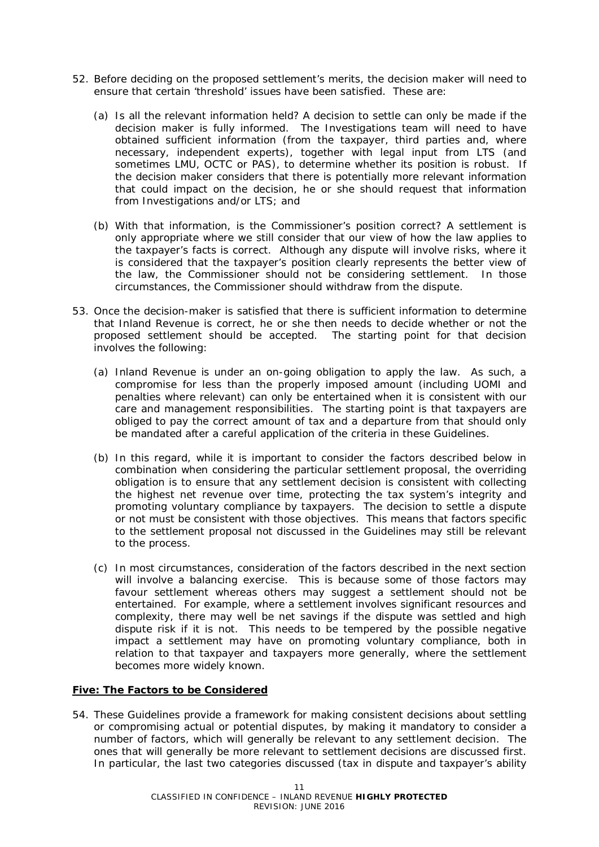- 52. Before deciding on the proposed settlement's merits, the decision maker will need to ensure that certain 'threshold' issues have been satisfied. These are:
	- (a) *Is all the relevant information held?* A decision to settle can only be made if the decision maker is fully informed. The Investigations team will need to have obtained sufficient information (from the taxpayer, third parties and, where necessary, independent experts), together with legal input from LTS (and sometimes LMU, OCTC or PAS), to determine whether its position is robust. If the decision maker considers that there is potentially more relevant information that could impact on the decision, he or she should request that information from Investigations and/or LTS; and
	- (b) *With that information, is the Commissioner's position correct?* A settlement is only appropriate where we still consider that our view of how the law applies to the taxpayer's facts is correct. Although any dispute will involve risks, where it is considered that the taxpayer's position clearly represents the better view of the law, the Commissioner should not be considering settlement. In those circumstances, the Commissioner should withdraw from the dispute.
- 53. Once the decision-maker is satisfied that there is sufficient information to determine that Inland Revenue is correct, he or she then needs to decide whether or not the proposed settlement should be accepted. The starting point for that decision involves the following:
	- (a) Inland Revenue is under an on-going obligation to apply the law. As such, a compromise for *less* than the properly imposed amount (including UOMI and penalties where relevant) can only be entertained when it is consistent with our care and management responsibilities. The starting point is that taxpayers are obliged to pay the correct amount of tax and a departure from that should only be mandated after a careful application of the criteria in these Guidelines.
	- (b) In this regard, while it is important to consider the factors described below in combination when considering the particular settlement proposal, the *overriding* obligation is to ensure that any settlement decision is consistent with collecting the highest net revenue over time, protecting the tax system's integrity and promoting voluntary compliance by taxpayers. The decision to settle a dispute or not must be consistent with those objectives. This means that factors specific to the settlement proposal not discussed in the Guidelines may still be relevant to the process.
	- (c) In most circumstances, consideration of the factors described in the next section will involve a balancing exercise. This is because some of those factors may favour settlement whereas others may suggest a settlement should not be entertained. For example, where a settlement involves significant resources and complexity, there may well be net savings if the dispute was settled and high dispute risk if it is not. This needs to be tempered by the possible negative impact a settlement may have on promoting voluntary compliance, both in relation to that taxpayer and taxpayers more generally, where the settlement becomes more widely known.

#### **Five: The Factors to be Considered**

54. These Guidelines provide a framework for making consistent decisions about settling or compromising actual or potential disputes, by making it mandatory to consider a number of factors, which will generally be relevant to any settlement decision. The ones that will generally be more relevant to settlement decisions are discussed first. In particular, the last two categories discussed (tax in dispute and taxpayer's ability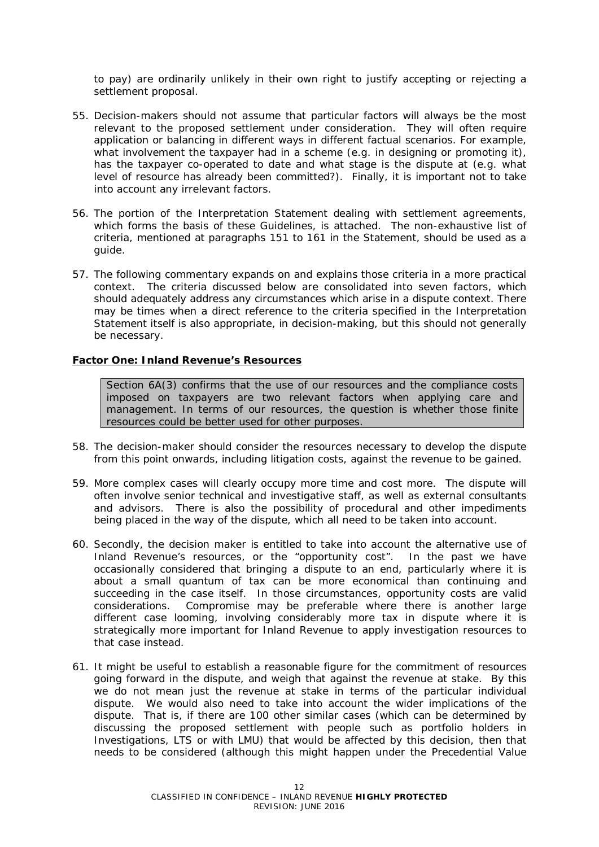to pay) are ordinarily unlikely in their own right to justify accepting or rejecting a settlement proposal.

- 55. Decision-makers should not assume that particular factors will always be the most relevant to the proposed settlement under consideration. They will often require application or balancing in different ways in different factual scenarios. For example, what involvement the taxpayer had in a scheme (e.g. in designing or promoting it), has the taxpayer co-operated to date and what stage is the dispute at (e.g. what level of resource has already been committed?). Finally, it is important not to take into account any irrelevant factors.
- 56. The portion of the Interpretation Statement dealing with settlement agreements, which forms the basis of these Guidelines, is attached. The non-exhaustive list of criteria, mentioned at paragraphs 151 to 161 in the Statement, should be used as a guide.
- 57. The following commentary expands on and explains those criteria in a more practical context. The criteria discussed below are consolidated into seven factors, which should adequately address any circumstances which arise in a dispute context. There may be times when a direct reference to the criteria specified in the Interpretation Statement itself is also appropriate, in decision-making, but this should not generally be necessary.

#### **Factor One: Inland Revenue's Resources**

*Section 6A(3) confirms that the use of our resources and the compliance costs imposed on taxpayers are two relevant factors when applying care and management. In terms of our resources, the question is whether those finite resources could be better used for other purposes.*

- 58. The decision-maker should consider the resources necessary to develop the dispute from this point onwards, including litigation costs, against the revenue to be gained.
- 59. More complex cases will clearly occupy more time and cost more. The dispute will often involve senior technical and investigative staff, as well as external consultants and advisors. There is also the possibility of procedural and other impediments being placed in the way of the dispute, which all need to be taken into account.
- 60. Secondly, the decision maker is entitled to take into account the alternative use of Inland Revenue's resources, or the "opportunity cost". In the past we have occasionally considered that bringing a dispute to an end, particularly where it is about a small quantum of tax can be more economical than continuing and succeeding in the case itself. In those circumstances, opportunity costs are valid considerations. Compromise may be preferable where there is another large different case looming, involving considerably more tax in dispute where it is strategically more important for Inland Revenue to apply investigation resources to that case instead.
- 61. It might be useful to establish a reasonable figure for the commitment of resources going forward in the dispute, and weigh that against the revenue at stake. By this we do not mean just the revenue at stake in terms of the particular individual dispute. We would also need to take into account the wider implications of the dispute. That is, if there are 100 other similar cases (which can be determined by discussing the proposed settlement with people such as portfolio holders in Investigations, LTS or with LMU) that would be affected by this decision, then that needs to be considered (although this might happen under the Precedential Value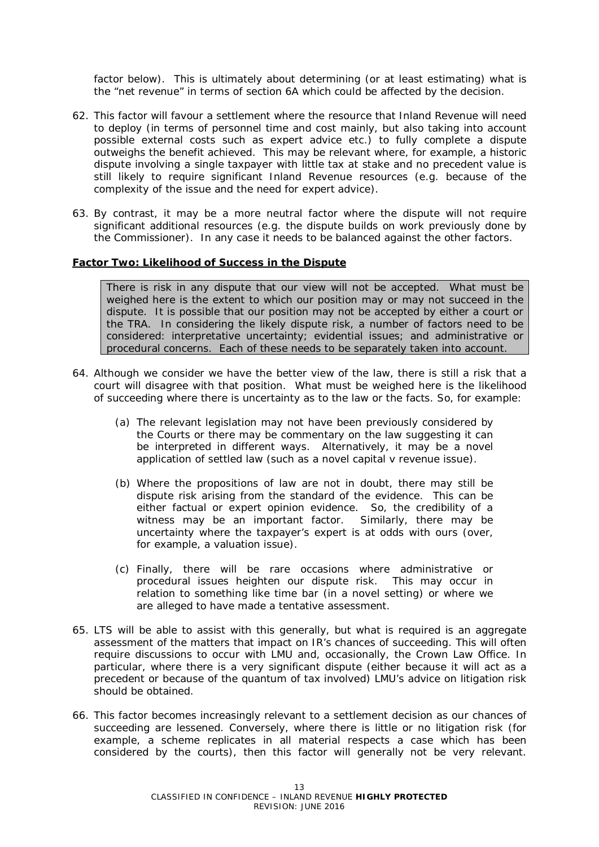factor below). This is ultimately about determining (or at least estimating) what is the "net revenue" in terms of section 6A which could be affected by the decision.

- 62. This factor will favour a settlement where the resource that Inland Revenue will need to deploy (in terms of personnel time and cost mainly, but also taking into account possible external costs such as expert advice etc.) to fully complete a dispute outweighs the benefit achieved. This may be relevant where, for example, a historic dispute involving a single taxpayer with little tax at stake and no precedent value is still likely to require significant Inland Revenue resources (e.g. because of the complexity of the issue and the need for expert advice).
- 63. By contrast, it may be a more neutral factor where the dispute will not require significant additional resources (e.g. the dispute builds on work previously done by the Commissioner). In any case it needs to be balanced against the other factors.

#### **Factor Two: Likelihood of Success in the Dispute**

*There is risk in any dispute that our view will not be accepted. What must be weighed here is the extent to which our position may or may not succeed in the dispute. It is possible that our position may not be accepted by either a court or the TRA. In considering the likely dispute risk, a number of factors need to be considered: interpretative uncertainty; evidential issues; and administrative or procedural concerns. Each of these needs to be separately taken into account.*

- 64. Although we consider we have the better view of the law, there is still a risk that a court will disagree with that position. What must be weighed here is the likelihood of succeeding where there is uncertainty as to the law or the facts. So, for example:
	- (a) The relevant legislation may not have been previously considered by the Courts or there may be commentary on the law suggesting it can be interpreted in different ways. Alternatively, it may be a novel application of settled law (such as a novel capital v revenue issue).
	- (b) Where the propositions of law are not in doubt, there may still be dispute risk arising from the standard of the evidence. This can be either factual or expert opinion evidence. So, the credibility of a witness may be an important factor. Similarly, there may be uncertainty where the taxpayer's expert is at odds with ours (over, for example, a valuation issue).
	- (c) Finally, there will be rare occasions where administrative or procedural issues heighten our dispute risk. This may occur in relation to something like time bar (in a novel setting) or where we are alleged to have made a tentative assessment.
- 65. LTS will be able to assist with this generally, but what is required is an aggregate assessment of the matters that impact on IR's chances of succeeding. This will often require discussions to occur with LMU and, occasionally, the Crown Law Office. In particular, where there is a very significant dispute (either because it will act as a precedent or because of the quantum of tax involved) LMU's advice on litigation risk should be obtained.
- 66. This factor becomes increasingly relevant to a settlement decision as our chances of succeeding are lessened. Conversely, where there is little or no litigation risk (for example, a scheme replicates in all material respects a case which has been considered by the courts), then this factor will generally not be very relevant.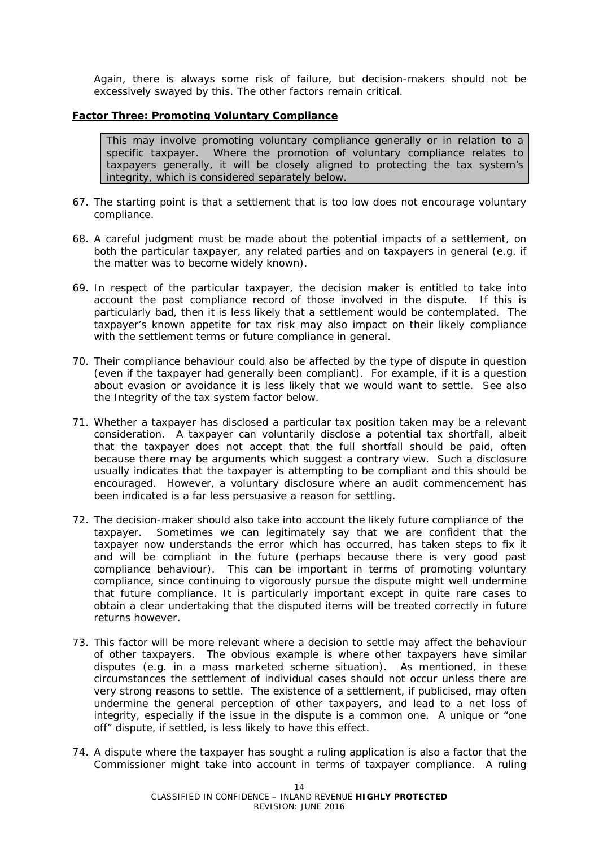Again, there is always some risk of failure, but decision-makers should not be excessively swayed by this. The other factors remain critical.

#### **Factor Three: Promoting Voluntary Compliance**

*This may involve promoting voluntary compliance generally or in relation to a specific taxpayer. Where the promotion of voluntary compliance relates to taxpayers generally, it will be closely aligned to protecting the tax system's integrity, which is considered separately below.*

- 67. The starting point is that a settlement that is too low does not encourage voluntary compliance.
- 68. A careful judgment must be made about the potential impacts of a settlement, on both the particular taxpayer, any related parties and on taxpayers in general (e.g. if the matter was to become widely known).
- 69. In respect of the particular taxpayer, the decision maker is entitled to take into account the past compliance record of those involved in the dispute. If this is particularly bad, then it is less likely that a settlement would be contemplated. The taxpayer's known appetite for tax risk may also impact on their likely compliance with the settlement terms or future compliance in general.
- 70. Their compliance behaviour could also be affected by the type of dispute in question (even if the taxpayer had generally been compliant). For example, if it is a question about evasion or avoidance it is less likely that we would want to settle. See also the *Integrity of the tax system* factor below.
- 71. Whether a taxpayer has disclosed a particular tax position taken may be a relevant consideration. A taxpayer can voluntarily disclose a potential tax shortfall, albeit that the taxpayer does not accept that the full shortfall should be paid, often because there may be arguments which suggest a contrary view. Such a disclosure usually indicates that the taxpayer is attempting to be compliant and this should be encouraged. However, a voluntary disclosure where an audit commencement has been indicated is a far less persuasive a reason for settling.
- 72. The decision-maker should also take into account the likely future compliance of the taxpayer. Sometimes we can legitimately say that we are confident that the taxpayer now understands the error which has occurred, has taken steps to fix it and will be compliant in the future (perhaps because there is very good past compliance behaviour). This can be important in terms of promoting voluntary compliance, since continuing to vigorously pursue the dispute might well undermine that future compliance. It is particularly important except in quite rare cases to obtain a clear undertaking that the disputed items will be treated correctly in future returns however.
- 73. This factor will be more relevant where a decision to settle may affect the behaviour of other taxpayers. The obvious example is where other taxpayers have similar disputes (e.g. in a mass marketed scheme situation). As mentioned, in these circumstances the settlement of individual cases should not occur unless there are very strong reasons to settle. The existence of a settlement, if publicised, may often undermine the general perception of other taxpayers, and lead to a net loss of integrity, especially if the issue in the dispute is a common one. A unique or "one off" dispute, if settled, is less likely to have this effect.
- 74. A dispute where the taxpayer has sought a ruling application is also a factor that the Commissioner might take into account in terms of taxpayer compliance. A ruling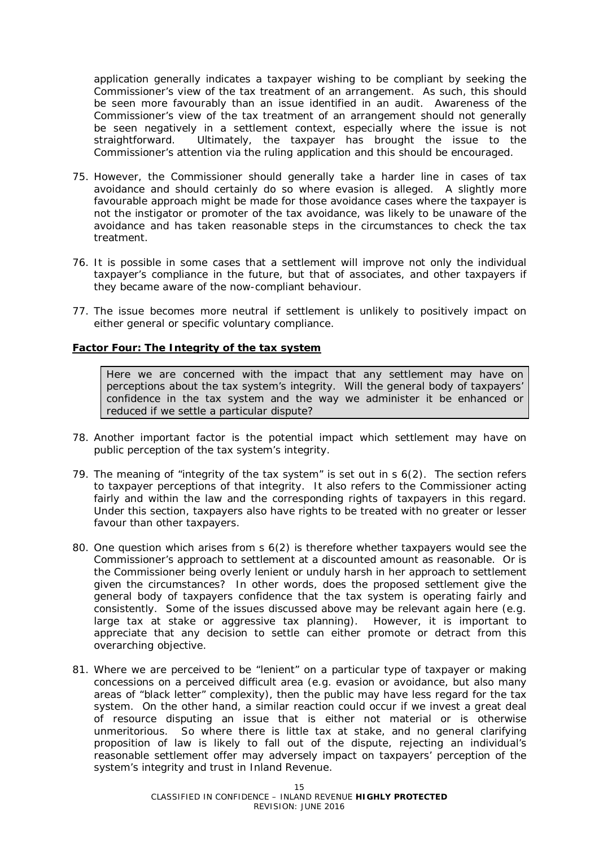application generally indicates a taxpayer wishing to be compliant by seeking the Commissioner's view of the tax treatment of an arrangement. As such, this should be seen more favourably than an issue identified in an audit. Awareness of the Commissioner's view of the tax treatment of an arrangement should not generally be seen negatively in a settlement context, especially where the issue is not straightforward. Ultimately, the taxpayer has brought the issue to the Commissioner's attention via the ruling application and this should be encouraged.

- 75. However, the Commissioner should generally take a harder line in cases of tax avoidance and should certainly do so where evasion is alleged. A slightly more favourable approach might be made for those avoidance cases where the taxpayer is not the instigator or promoter of the tax avoidance, was likely to be unaware of the avoidance and has taken reasonable steps in the circumstances to check the tax treatment.
- 76. It is possible in some cases that a settlement will improve not only the individual taxpayer's compliance in the future, but that of associates, and other taxpayers if they became aware of the now-compliant behaviour.
- 77. The issue becomes more neutral if settlement is unlikely to positively impact on either general or specific voluntary compliance.

#### **Factor Four: The Integrity of the tax system**

*Here we are concerned with the impact that any settlement may have on perceptions about the tax system's integrity. Will the general body of taxpayers' confidence in the tax system and the way we administer it be enhanced or reduced if we settle a particular dispute?* 

- 78. Another important factor is the potential impact which settlement may have on public perception of the tax system's integrity.
- 79. The meaning of "integrity of the tax system" is set out in s 6(2). The section refers to taxpayer perceptions of that integrity. It also refers to the Commissioner acting fairly and within the law and the corresponding rights of taxpayers in this regard. Under this section, taxpayers also have rights to be treated with no greater or lesser favour than other taxpayers.
- 80. One question which arises from s 6(2) is therefore whether taxpayers would see the Commissioner's approach to settlement at a discounted amount as reasonable. Or is the Commissioner being overly lenient or unduly harsh in her approach to settlement given the circumstances? In other words, does the proposed settlement give the general body of taxpayers confidence that the tax system is operating fairly and consistently. Some of the issues discussed above may be relevant again here (e.g. large tax at stake or aggressive tax planning). However, it is important to appreciate that any decision to settle can either promote or detract from this overarching objective.
- 81. Where we are perceived to be "lenient" on a particular type of taxpayer or making concessions on a perceived difficult area (e.g. evasion or avoidance, but also many areas of "black letter" complexity), then the public may have less regard for the tax system. On the other hand, a similar reaction could occur if we invest a great deal of resource disputing an issue that is either not material or is otherwise unmeritorious. So where there is little tax at stake, and no general clarifying proposition of law is likely to fall out of the dispute, rejecting an individual's reasonable settlement offer may adversely impact on taxpayers' perception of the system's integrity and trust in Inland Revenue.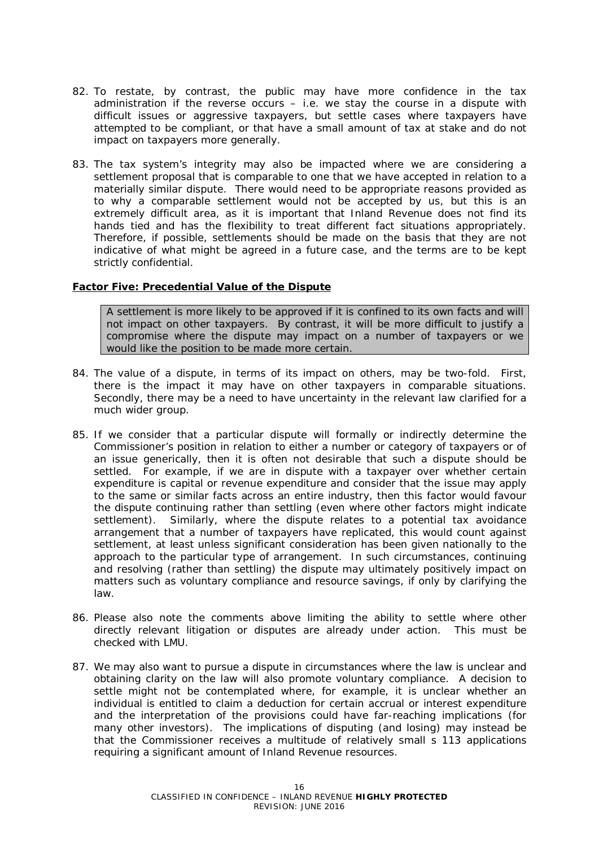- 82. To restate, by contrast, the public may have more confidence in the tax administration if the reverse occurs – i.e. we stay the course in a dispute with difficult issues or aggressive taxpayers, but settle cases where taxpayers have attempted to be compliant, or that have a small amount of tax at stake and do not impact on taxpayers more generally.
- 83. The tax system's integrity may also be impacted where we are considering a settlement proposal that is comparable to one that we have accepted in relation to a materially similar dispute. There would need to be appropriate reasons provided as to why a comparable settlement would not be accepted by us, but this is an extremely difficult area, as it is important that Inland Revenue does not find its hands tied and has the flexibility to treat different fact situations appropriately. Therefore, if possible, settlements should be made on the basis that they are not indicative of what might be agreed in a future case, and the terms are to be kept strictly confidential.

#### **Factor Five: Precedential Value of the Dispute**

*A settlement is more likely to be approved if it is confined to its own facts and will not impact on other taxpayers. By contrast, it will be more difficult to justify a compromise where the dispute may impact on a number of taxpayers or we would like the position to be made more certain.*

- 84. The value of a dispute, in terms of its impact on others, may be two-fold. First, there is the impact it may have on other taxpayers in comparable situations. Secondly, there may be a need to have uncertainty in the relevant law clarified for a much wider group.
- 85. If we consider that a particular dispute will formally or indirectly determine the Commissioner's position in relation to either a number or category of taxpayers or of an issue generically, then it is often not desirable that such a dispute should be settled. For example, if we are in dispute with a taxpayer over whether certain expenditure is capital or revenue expenditure and consider that the issue may apply to the same or similar facts across an entire industry, then this factor would favour the dispute continuing rather than settling (even where other factors might indicate settlement). Similarly, where the dispute relates to a potential tax avoidance arrangement that a number of taxpayers have replicated, this would count against settlement, at least unless significant consideration has been given nationally to the approach to the particular type of arrangement. In such circumstances, continuing and resolving (rather than settling) the dispute may ultimately positively impact on matters such as voluntary compliance and resource savings, if only by clarifying the law.
- 86. Please also note the comments above limiting the ability to settle where other directly relevant litigation or disputes are already under action. This must be checked with LMU.
- 87. We may also want to pursue a dispute in circumstances where the law is unclear and obtaining clarity on the law will also promote voluntary compliance. A decision to settle might not be contemplated where, for example, it is unclear whether an individual is entitled to claim a deduction for certain accrual or interest expenditure and the interpretation of the provisions could have far-reaching implications (for many other investors). The implications of disputing (and losing) may instead be that the Commissioner receives a multitude of relatively small s 113 applications requiring a significant amount of Inland Revenue resources.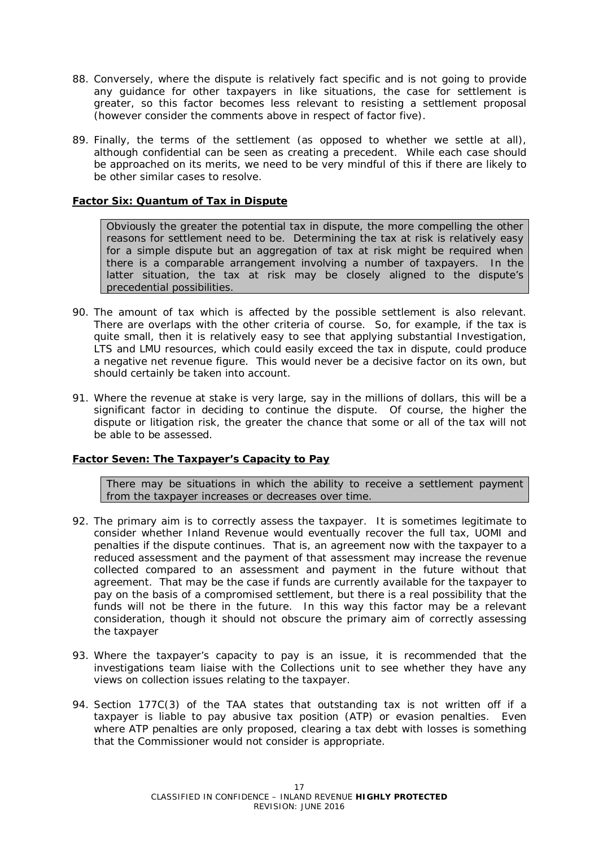- 88. Conversely, where the dispute is relatively fact specific and is not going to provide any guidance for other taxpayers in like situations, the case for settlement is greater, so this factor becomes less relevant to resisting a settlement proposal (however consider the comments above in respect of factor five).
- 89. Finally, the terms of the settlement (as opposed to whether we settle at all), although confidential can be seen as creating a precedent. While each case should be approached on its merits, we need to be very mindful of this if there are likely to be other similar cases to resolve.

#### **Factor Six: Quantum of Tax in Dispute**

*Obviously the greater the potential tax in dispute, the more compelling the other reasons for settlement need to be. Determining the tax at risk is relatively easy for a simple dispute but an aggregation of tax at risk might be required when there is a comparable arrangement involving a number of taxpayers. In the latter situation, the tax at risk may be closely aligned to the dispute's precedential possibilities.*

- 90. The amount of tax which is affected by the possible settlement is also relevant. There are overlaps with the other criteria of course. So, for example, if the tax is quite small, then it is relatively easy to see that applying substantial Investigation, LTS and LMU resources, which could easily exceed the tax in dispute, could produce a negative net revenue figure. This would never be a decisive factor on its own, but should certainly be taken into account.
- 91. Where the revenue at stake is very large, say in the millions of dollars, this will be a significant factor in deciding to continue the dispute. Of course, the higher the dispute or litigation risk, the greater the chance that some or all of the tax will not be able to be assessed.

#### **Factor Seven: The Taxpayer's Capacity to Pay**

*There may be situations in which the ability to receive a settlement payment from the taxpayer increases or decreases over time.*

- 92. The primary aim is to correctly assess the taxpayer. It is sometimes legitimate to consider whether Inland Revenue would eventually recover the full tax, UOMI and penalties if the dispute continues. That is, an agreement now with the taxpayer to a reduced assessment and the payment of that assessment may increase the revenue collected compared to an assessment and payment in the future without that agreement. That may be the case if funds are currently available for the taxpayer to pay on the basis of a compromised settlement, but there is a real possibility that the funds will not be there in the future. In this way this factor may be a relevant consideration, though it should not obscure the primary aim of correctly assessing the taxpayer
- 93. Where the taxpayer's capacity to pay is an issue, it is recommended that the investigations team liaise with the Collections unit to see whether they have any views on collection issues relating to the taxpayer.
- 94. Section 177C(3) of the TAA states that outstanding tax is not written off if a taxpayer is liable to pay abusive tax position (ATP) or evasion penalties. Even where ATP penalties are only proposed, clearing a tax debt with losses is something that the Commissioner would not consider is appropriate.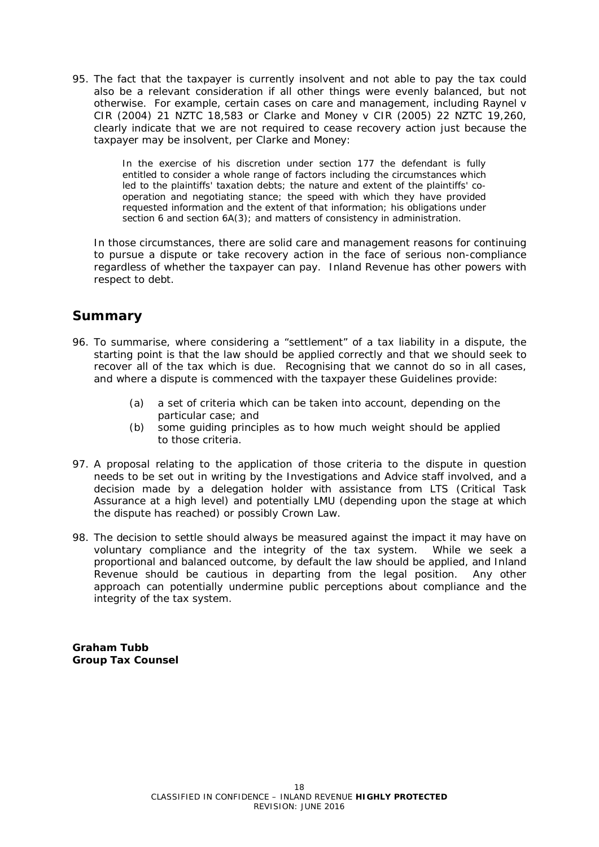95. The fact that the taxpayer is currently insolvent and not able to pay the tax could also be a relevant consideration if all other things were evenly balanced, but not otherwise. For example, certain cases on care and management, including *Raynel v CIR* (2004) 21 NZTC 18,583 or *Clarke and Money v CIR* (2005) 22 NZTC 19,260, clearly indicate that we are not required to cease recovery action just because the taxpayer may be insolvent, per Clarke and Money:

> In the exercise of his discretion under section 177 the defendant is fully entitled to consider a whole range of factors including the circumstances which led to the plaintiffs' taxation debts; the nature and extent of the plaintiffs' cooperation and negotiating stance; the speed with which they have provided requested information and the extent of that information; his obligations under section 6 and section 6A(3); and matters of consistency in administration.

In those circumstances, there are solid care and management reasons for continuing to pursue a dispute or take recovery action in the face of serious non-compliance regardless of whether the taxpayer can pay. Inland Revenue has other powers with respect to debt.

# **Summary**

- 96. To summarise, where considering a "settlement" of a tax liability in a dispute, the starting point is that the law should be applied correctly and that we should seek to recover all of the tax which is due. Recognising that we cannot do so in all cases, and where a dispute is commenced with the taxpayer these Guidelines provide:
	- (a) a set of criteria which can be taken into account, depending on the particular case; and
	- (b) some guiding principles as to how much weight should be applied to those criteria.
- 97. A proposal relating to the application of those criteria to the dispute in question needs to be set out in writing by the Investigations and Advice staff involved, and a decision made by a delegation holder with assistance from LTS (Critical Task Assurance at a high level) and potentially LMU (depending upon the stage at which the dispute has reached) or possibly Crown Law.
- 98. The decision to settle should always be measured against the impact it may have on voluntary compliance and the integrity of the tax system. While we seek a proportional and balanced outcome, by default the law should be applied, and Inland Revenue should be cautious in departing from the legal position. Any other approach can potentially undermine public perceptions about compliance and the integrity of the tax system.

**Graham Tubb Group Tax Counsel**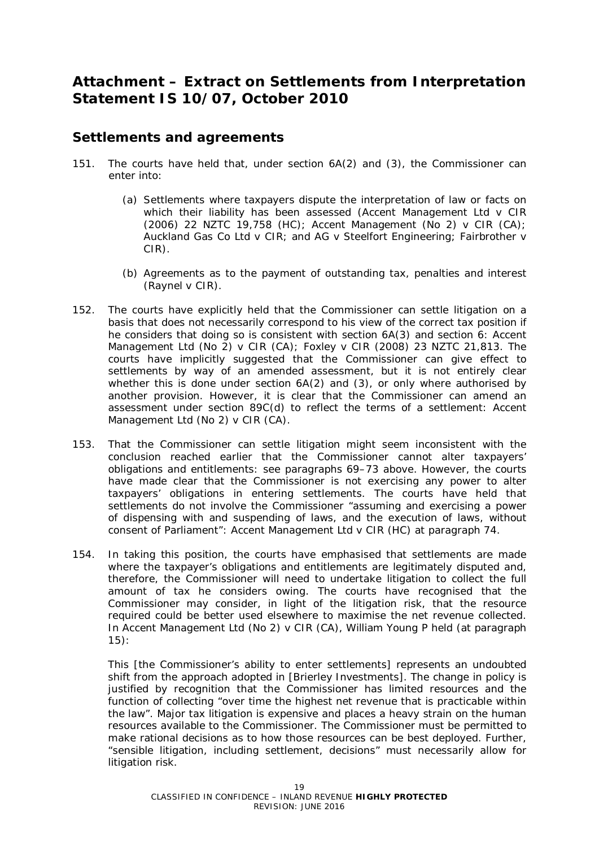# **Attachment – Extract on Settlements from Interpretation Statement IS 10/07, October 2010**

# **Settlements and agreements**

- 151. The courts have held that, under *section 6A(2)* and *(3)*, the Commissioner can enter into:
	- (a) Settlements where taxpayers dispute the interpretation of law or facts on which their liability has been assessed (*Accent Management Ltd v CIR*  (2006) 22 NZTC 19,758 (HC); *Accent Management (No 2) v CIR* (CA); *Auckland Gas Co Ltd v CIR;* and *AG v Steelfort Engineering*; *Fairbrother v CIR).*
	- (b) Agreements as to the payment of outstanding tax, penalties and interest (*Raynel v CIR*).
- 152. The courts have explicitly held that the Commissioner can settle litigation on a basis that does not necessarily correspond to his view of the correct tax position if he considers that doing so is consistent with section 6A(3) and section 6: *Accent Management Ltd (No 2) v CIR* (CA); *Foxley v CIR* (2008) 23 NZTC 21,813. The courts have implicitly suggested that the Commissioner can give effect to settlements by way of an amended assessment, but it is not entirely clear whether this is done under section 6A(2) and (3), or only where authorised by another provision. However, it is clear that the Commissioner can amend an assessment under section 89C(d) to reflect the terms of a settlement: *Accent Management Ltd (No 2) v CIR* (CA).
- 153. That the Commissioner can settle litigation might seem inconsistent with the conclusion reached earlier that the Commissioner cannot alter taxpayers' obligations and entitlements: see paragraphs 69–73 above. However, the courts have made clear that the Commissioner is not exercising any power to alter taxpayers' obligations in entering settlements. The courts have held that settlements do not involve the Commissioner "assuming and exercising a power of dispensing with and suspending of laws, and the execution of laws, without consent of Parliament": *Accent Management Ltd v CIR* (HC) at paragraph 74.
- 154. In taking this position, the courts have emphasised that settlements are made where the taxpayer's obligations and entitlements are legitimately disputed and, therefore, the Commissioner will need to undertake litigation to collect the full amount of tax he considers owing. The courts have recognised that the Commissioner may consider, in light of the litigation risk, that the resource required could be better used elsewhere to maximise the net revenue collected. In *Accent Management Ltd (No 2) v CIR* (CA), William Young P held (*at paragraph 15*):

This [the Commissioner's ability to enter settlements] represents an undoubted shift from the approach adopted in [*Brierley Investments*]*.* The change in policy is justified by recognition that the Commissioner has limited resources and the function of collecting "over time the highest net revenue that is practicable within the law". Major tax litigation is expensive and places a heavy strain on the human resources available to the Commissioner. The Commissioner must be permitted to make rational decisions as to how those resources can be best deployed. Further, "sensible litigation, including settlement, decisions" must necessarily allow for litigation risk.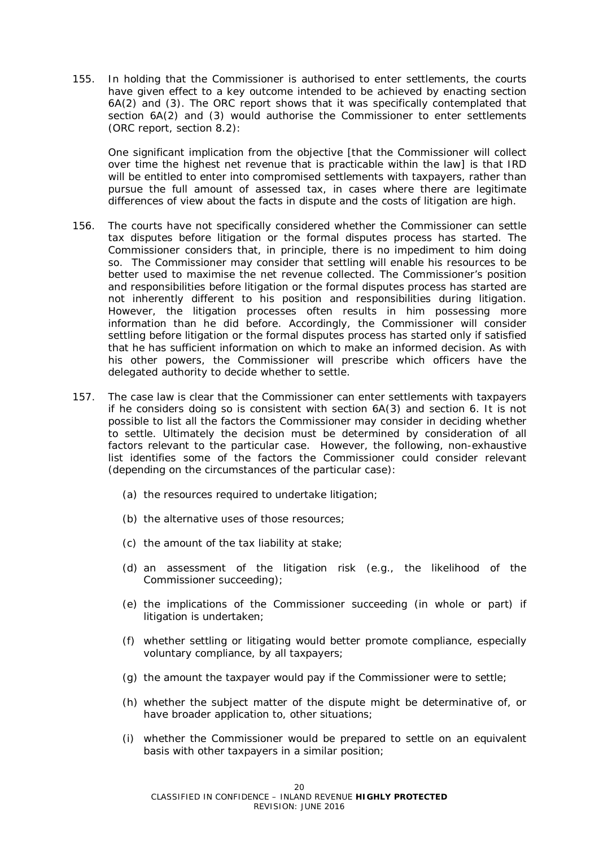155. In holding that the Commissioner is authorised to enter settlements, the courts have given effect to a key outcome intended to be achieved by enacting section *6A(2)* and *(3)*. The ORC report shows that it was specifically contemplated that *section 6A(2)* and *(3)* would authorise the Commissioner to enter settlements (ORC report, *section 8.2*):

One significant implication from the objective [that the Commissioner will collect over time the highest net revenue that is practicable within the law] is that IRD will be entitled to enter into compromised settlements with taxpayers, rather than pursue the full amount of assessed tax, in cases where there are legitimate differences of view about the facts in dispute and the costs of litigation are high.

- 156. The courts have not specifically considered whether the Commissioner can settle tax disputes before litigation or the formal disputes process has started. The Commissioner considers that, in principle, there is no impediment to him doing so. The Commissioner may consider that settling will enable his resources to be better used to maximise the net revenue collected. The Commissioner's position and responsibilities before litigation or the formal disputes process has started are not inherently different to his position and responsibilities during litigation. However, the litigation processes often results in him possessing more information than he did before. Accordingly, the Commissioner will consider settling before litigation or the formal disputes process has started only if satisfied that he has sufficient information on which to make an informed decision. As with his other powers, the Commissioner will prescribe which officers have the delegated authority to decide whether to settle.
- 157. The case law is clear that the Commissioner can enter settlements with taxpayers if he considers doing so is consistent with section 6A(3) and section 6. It is not possible to list all the factors the Commissioner may consider in deciding whether to settle. Ultimately the decision must be determined by consideration of all factors relevant to the particular case. However, the following, non-exhaustive list identifies some of the factors the Commissioner could consider relevant (depending on the circumstances of the particular case):
	- (a) the resources required to undertake litigation;
	- (b) the alternative uses of those resources;
	- (c) the amount of the tax liability at stake;
	- (d) an assessment of the litigation risk (e.g., the likelihood of the Commissioner succeeding);
	- (e) the implications of the Commissioner succeeding (in whole or part) if litigation is undertaken;
	- (f) whether settling or litigating would better promote compliance, especially voluntary compliance, by all taxpayers;
	- (g) the amount the taxpayer would pay if the Commissioner were to settle;
	- (h) whether the subject matter of the dispute might be determinative of, or have broader application to, other situations;
	- (i) whether the Commissioner would be prepared to settle on an equivalent basis with other taxpayers in a similar position;